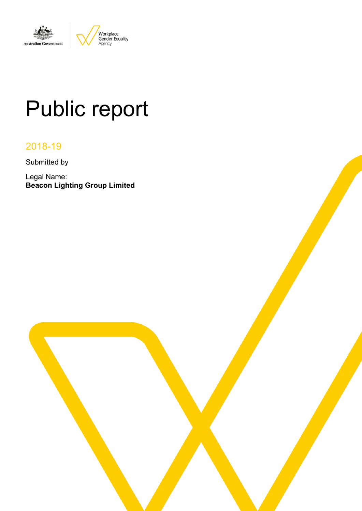

# Public report

# 2018-19

Submitted by

Legal Name: **Beacon Lighting Group Limited**

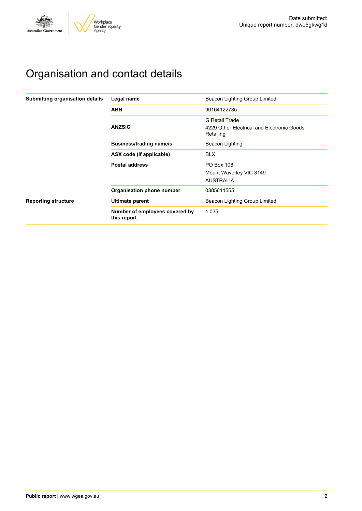

# Organisation and contact details

| Submitting organisation details | Legal name                                    | Beacon Lighting Group Limited                                             |  |  |
|---------------------------------|-----------------------------------------------|---------------------------------------------------------------------------|--|--|
|                                 | <b>ABN</b>                                    | 90164122785                                                               |  |  |
|                                 | <b>ANZSIC</b>                                 | G Retail Trade<br>4229 Other Electrical and Electronic Goods<br>Retailing |  |  |
|                                 | <b>Business/trading name/s</b>                | Beacon Lighting                                                           |  |  |
|                                 | ASX code (if applicable)                      | <b>BLX</b>                                                                |  |  |
|                                 | <b>Postal address</b>                         | <b>PO Box 108</b><br>Mount Waverley VIC 3149<br><b>AUSTRALIA</b>          |  |  |
|                                 | Organisation phone number                     | 0385611555                                                                |  |  |
| <b>Reporting structure</b>      | Ultimate parent                               | Beacon Lighting Group Limited                                             |  |  |
|                                 | Number of employees covered by<br>this report | 1,035                                                                     |  |  |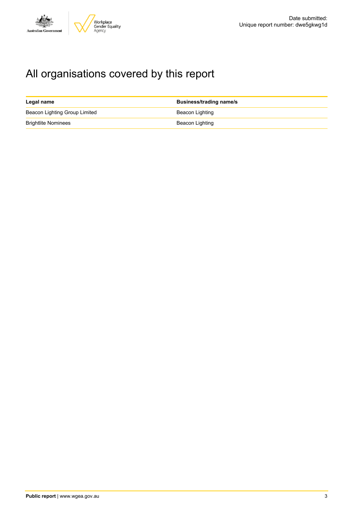

# All organisations covered by this report

| Legal name                    | <b>Business/trading name/s</b> |
|-------------------------------|--------------------------------|
| Beacon Lighting Group Limited | Beacon Lighting                |
| <b>Brightlite Nominees</b>    | Beacon Lighting                |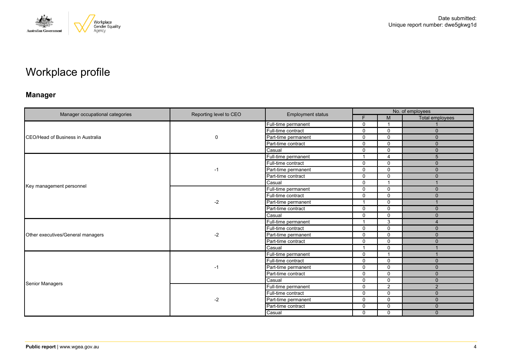

# Workplace profile

# **Manager**

|                                   |                        |                          | No. of employees         |                |                 |  |
|-----------------------------------|------------------------|--------------------------|--------------------------|----------------|-----------------|--|
| Manager occupational categories   | Reporting level to CEO | <b>Employment status</b> | F                        | M              | Total employees |  |
|                                   |                        | Full-time permanent      | $\mathbf 0$              |                |                 |  |
|                                   |                        | Full-time contract       | $\mathbf 0$              | $\Omega$       | $\mathbf{0}$    |  |
| CEO/Head of Business in Australia | 0                      | Part-time permanent      | $\mathbf{0}$             | $\Omega$       | $\Omega$        |  |
|                                   |                        | Part-time contract       | $\Omega$                 | $\Omega$       | $\mathbf{0}$    |  |
|                                   |                        | Casual                   | $\mathbf 0$              | $\Omega$       | $\mathbf{0}$    |  |
|                                   |                        | Full-time permanent      | $\overline{ }$           | 4              | 5               |  |
|                                   |                        | Full-time contract       | $\Omega$                 | $\Omega$       | $\mathbf{0}$    |  |
|                                   | -1                     | Part-time permanent      | 0                        | $\Omega$       | $\mathbf{0}$    |  |
|                                   |                        | Part-time contract       | $\Omega$                 | $\Omega$       | $\Omega$        |  |
|                                   |                        | Casual                   | $\mathbf{0}$             | $\overline{ }$ | $\overline{1}$  |  |
| Key management personnel          |                        | Full-time permanent      | $\mathbf 0$              | $\Omega$       | $\mathbf{0}$    |  |
|                                   | $-2$<br>$-2$           | Full-time contract       | $\mathbf{0}$             | $\mathbf{0}$   | $\Omega$        |  |
|                                   |                        | Part-time permanent      | $\overline{\phantom{a}}$ | $\Omega$       | $\overline{1}$  |  |
|                                   |                        | Part-time contract       | $\mathbf 0$              | $\mathbf 0$    | $\mathbf{0}$    |  |
|                                   |                        | Casual                   | $\mathbf{0}$             | $\Omega$       | $\Omega$        |  |
|                                   |                        | Full-time permanent      | $\overline{\mathbf{1}}$  | 3              | $\overline{4}$  |  |
|                                   |                        | Full-time contract       | $\mathbf 0$              | $\Omega$       | $\mathbf{0}$    |  |
| Other executives/General managers |                        | Part-time permanent      | $\Omega$                 | $\Omega$       | $\Omega$        |  |
|                                   |                        | Part-time contract       | $\mathbf 0$              | $\mathbf{0}$   | $\mathbf 0$     |  |
|                                   |                        | Casual                   | $\overline{\phantom{a}}$ | $\Omega$       |                 |  |
|                                   |                        | Full-time permanent      | $\mathbf{0}$             | $\overline{1}$ | $\mathbf{1}$    |  |
|                                   |                        | Full-time contract       | $\mathbf 0$              | $\Omega$       | $\mathbf{0}$    |  |
|                                   | -1                     | Part-time permanent      | $\Omega$                 | $\Omega$       | $\Omega$        |  |
|                                   |                        | Part-time contract       | $\mathbf{0}$             | $\Omega$       | $\Omega$        |  |
| <b>Senior Managers</b>            |                        | Casual                   | $\mathbf 0$              | $\mathbf 0$    | $\mathbf{0}$    |  |
|                                   |                        | Full-time permanent      | $\mathbf{0}$             | $\overline{2}$ | $\overline{2}$  |  |
|                                   |                        | Full-time contract       | $\Omega$                 | $\mathbf{0}$   | $\Omega$        |  |
|                                   | $-2$                   | Part-time permanent      | $\mathbf 0$              | $\Omega$       | $\Omega$        |  |
|                                   |                        | Part-time contract       | 0                        | $\Omega$       | $\Omega$        |  |
|                                   |                        | Casual                   | $\Omega$                 | $\mathbf{0}$   | $\Omega$        |  |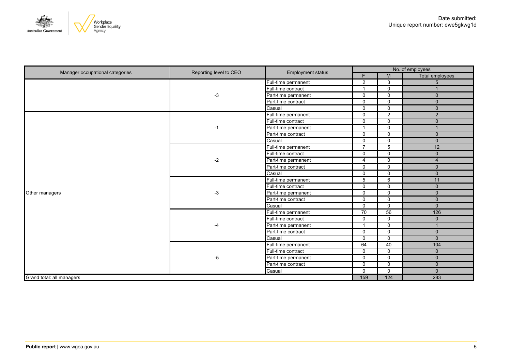



| Manager occupational categories | Reporting level to CEO | <b>Employment status</b> | No. of employees |                  |                 |
|---------------------------------|------------------------|--------------------------|------------------|------------------|-----------------|
|                                 |                        |                          | F.               | M                | Total employees |
|                                 |                        | Full-time permanent      | $\overline{2}$   | 3                | 5               |
|                                 |                        | Full-time contract       | $\mathbf{1}$     | $\mathbf 0$      |                 |
|                                 | -3                     | Part-time permanent      | $\Omega$         | 0                | $\mathbf{0}$    |
|                                 |                        | Part-time contract       | $\overline{0}$   | $\Omega$         | $\mathbf{0}$    |
|                                 |                        | Casual                   | $\mathbf 0$      | $\mathbf 0$      | $\mathbf{0}$    |
|                                 |                        | Full-time permanent      | $\mathsf{O}$     | $\mathbf{2}$     | $\overline{2}$  |
|                                 |                        | Full-time contract       | $\mathbf 0$      | 0                | $\mathbf{0}$    |
|                                 | $-1$                   | Part-time permanent      | $\mathbf{1}$     | $\mathbf 0$      | $\overline{1}$  |
|                                 |                        | Part-time contract       | $\mathsf{O}$     | $\mathbf 0$      | $\mathbf{0}$    |
|                                 |                        | Casual                   | $\mathbf 0$      | $\mathbf 0$      | $\mathbf{0}$    |
|                                 |                        | Full-time permanent      | $\overline{7}$   | 5                | 12              |
|                                 | $-2$                   | Full-time contract       | $\mathbf 0$      | $\mathbf 0$      | $\mathbf{0}$    |
|                                 |                        | Part-time permanent      | 4                | $\mathbf 0$      | 4               |
|                                 |                        | Part-time contract       | $\mathbf 0$      | $\mathbf 0$      | $\mathbf{0}$    |
|                                 |                        | Casual                   | $\mathsf{O}$     | $\mathbf 0$      | $\mathbf{0}$    |
|                                 | $-3$                   | Full-time permanent      | 5                | 6                | 11              |
|                                 |                        | Full-time contract       | $\mathbf 0$      | $\mathbf 0$      | $\mathbf{0}$    |
| Other managers                  |                        | Part-time permanent      | $\mathbf 0$      | $\mathbf 0$      | $\mathbf 0$     |
|                                 |                        | Part-time contract       | $\mathbf 0$      | $\mathbf 0$      | $\mathbf{0}$    |
|                                 |                        | Casual                   | $\mathsf{O}$     | $\mathbf 0$      | $\mathbf{0}$    |
|                                 |                        | Full-time permanent      | $\overline{70}$  | 56               | 126             |
|                                 |                        | Full-time contract       | $\mathbf 0$      | $\mathbf 0$      | $\mathbf{0}$    |
|                                 | -4                     | Part-time permanent      | $\mathbf{1}$     | $\mathbf 0$      | 1               |
|                                 |                        | Part-time contract       | $\mathbf 0$      | $\mathbf 0$      | $\mathbf{0}$    |
|                                 |                        | Casual                   | $\mathbf 0$      | $\mathbf 0$      | $\mathbf{0}$    |
|                                 |                        | Full-time permanent      | 64               | 40               | 104             |
|                                 |                        | Full-time contract       | $\mathbf 0$      | $\mathbf 0$      | $\mathbf{0}$    |
|                                 | -5                     | Part-time permanent      | $\mathbf 0$      | 0                | $\mathbf{0}$    |
|                                 |                        | Part-time contract       | $\mathbf 0$      | $\mathbf 0$      | $\mathbf{0}$    |
|                                 |                        | Casual                   | 0                | 0                | $\mathbf 0$     |
| Grand total: all managers       |                        |                          | 159              | $\overline{124}$ | 283             |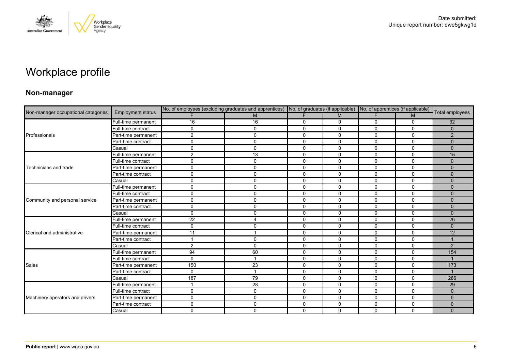

# Workplace profile

### **Non-manager**

|                                     |                          | No. of employees (excluding graduates and apprentices) No. of graduates (if applicable) No. of apprentices (if applicable) |                |             |              |              |              |                 |
|-------------------------------------|--------------------------|----------------------------------------------------------------------------------------------------------------------------|----------------|-------------|--------------|--------------|--------------|-----------------|
| Non-manager occupational categories | <b>Employment status</b> |                                                                                                                            | M              |             | M            |              | M            | Total employees |
|                                     | Full-time permanent      | 16                                                                                                                         | 16             | 0           | 0            | 0            | 0            | 32              |
|                                     | Full-time contract       | $\Omega$                                                                                                                   | $\mathbf 0$    | $\mathbf 0$ | $\Omega$     | $\Omega$     | $\mathbf{0}$ | $\Omega$        |
| Professionals                       | Part-time permanent      | $\overline{2}$                                                                                                             | 0              | $\mathbf 0$ | 0            | 0            | $\mathbf 0$  | 2               |
|                                     | Part-time contract       | $\Omega$                                                                                                                   | 0              | 0           | 0            | 0            | $\Omega$     | $\Omega$        |
|                                     | Casual                   | $\mathbf{0}$                                                                                                               | $\mathbf 0$    | $\Omega$    | $\Omega$     | $\mathbf{0}$ | $\mathbf{0}$ | $\mathbf{0}$    |
|                                     | Full-time permanent      | $\overline{2}$                                                                                                             | 13             | $\mathbf 0$ | $\mathbf 0$  | 0            | $\mathbf{0}$ | 15              |
|                                     | Full-time contract       | $\Omega$                                                                                                                   | $\mathsf{O}$   | 0           | 0            | $\mathbf 0$  | $\mathbf 0$  | $\Omega$        |
| Technicians and trade               | Part-time permanent      | $\mathbf 0$                                                                                                                | 0              | $\mathbf 0$ | $\mathbf 0$  | $\mathbf 0$  | 0            | $\mathbf{0}$    |
|                                     | Part-time contract       | $\Omega$                                                                                                                   | $\mathbf 0$    | $\mathbf 0$ | $\Omega$     | $\Omega$     | $\mathbf{0}$ | $\Omega$        |
|                                     | Casual                   | $\mathbf 0$                                                                                                                | 0              | $\mathbf 0$ | $\mathbf 0$  | $\mathbf 0$  | $\mathbf 0$  | $\Omega$        |
|                                     | Full-time permanent      | $\mathbf 0$                                                                                                                | 0              | $\mathbf 0$ | $\mathbf{0}$ | $\Omega$     | $\Omega$     | $\Omega$        |
|                                     | Full-time contract       | $\Omega$                                                                                                                   | $\mathbf 0$    | $\mathbf 0$ | 0            | 0            | 0            | $\Omega$        |
| Community and personal service      | Part-time permanent      | $\mathbf 0$                                                                                                                | $\mathsf{O}$   | $\mathbf 0$ | $\mathbf 0$  | $\mathbf 0$  | $\mathbf 0$  | $\Omega$        |
|                                     | Part-time contract       | $\mathbf 0$                                                                                                                | $\mathsf{O}$   | $\mathbf 0$ | $\mathbf 0$  | $\mathbf 0$  | $\Omega$     | $\Omega$        |
|                                     | Casual                   | $\Omega$                                                                                                                   | $\mathbf 0$    | $\mathbf 0$ | $\Omega$     | $\Omega$     | $\mathbf{0}$ | $\Omega$        |
|                                     | Full-time permanent      | 22                                                                                                                         | $\overline{4}$ | $\mathbf 0$ | $\Omega$     | $\mathbf 0$  | $\mathbf{0}$ | 26              |
|                                     | Full-time contract       | $\mathbf 0$                                                                                                                | 0              | $\mathbf 0$ | 0            | $\mathbf 0$  | 0            | $\mathbf{0}$    |
| Clerical and administrative         | Part-time permanent      | 11                                                                                                                         |                | $\mathbf 0$ | $\Omega$     | $\Omega$     | $\mathbf{0}$ | 12              |
|                                     | Part-time contract       |                                                                                                                            | $\mathbf 0$    | $\mathbf 0$ | $\mathbf 0$  | $\mathbf 0$  | 0            |                 |
|                                     | Casual                   | $\overline{2}$                                                                                                             | 0              | 0           | $\mathbf 0$  | 0            | 0            | 2               |
|                                     | Full-time permanent      | 94                                                                                                                         | 60             | $\mathbf 0$ | $\mathbf 0$  | $\mathbf 0$  | $\mathbf 0$  | 154             |
|                                     | Full-time contract       | $\mathbf{0}$                                                                                                               | $\overline{1}$ | $\mathbf 0$ | $\Omega$     | $\Omega$     | $\Omega$     |                 |
| Sales                               | Part-time permanent      | 150                                                                                                                        | 23             | $\mathbf 0$ | 0            | $\mathbf 0$  | $\mathbf 0$  | 173             |
|                                     | Part-time contract       | $\mathbf 0$                                                                                                                | $\overline{1}$ | $\mathbf 0$ | $\mathbf 0$  | $\mathbf 0$  | $\mathbf 0$  | $\overline{1}$  |
|                                     | Casual                   | 187                                                                                                                        | 79             | $\mathbf 0$ | 0            | 0            | $\Omega$     | 266             |
|                                     | Full-time permanent      |                                                                                                                            | 28             | 0           | 0            | 0            | 0            | 29              |
|                                     | Full-time contract       | $\mathbf 0$                                                                                                                | $\mathsf{O}$   | $\mathbf 0$ | $\mathbf 0$  | $\mathbf 0$  | $\mathbf 0$  | $\mathbf{0}$    |
| Machinery operators and drivers     | Part-time permanent      | $\mathbf 0$                                                                                                                | $\mathbf 0$    | $\mathbf 0$ | $\mathbf 0$  | 0            | $\mathbf 0$  | $\Omega$        |
|                                     | Part-time contract       | $\Omega$                                                                                                                   | 0              | 0           | 0            | 0            | 0            | $\mathbf{0}$    |
|                                     | Casual                   | $\mathbf 0$                                                                                                                | $\mathbf 0$    | $\mathbf 0$ | $\Omega$     | $\Omega$     | $\mathbf 0$  | $\mathbf{0}$    |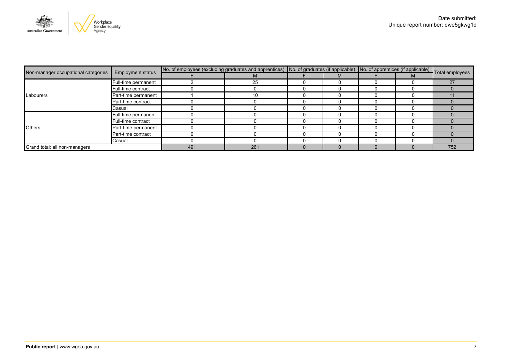

|                                     | <b>Employment status</b> | No. of employees (excluding graduates and apprentices) No. of graduates (if applicable) No. of apprentices (if applicable) Total employees |     |  |  |  |  |     |
|-------------------------------------|--------------------------|--------------------------------------------------------------------------------------------------------------------------------------------|-----|--|--|--|--|-----|
| Non-manager occupational categories |                          |                                                                                                                                            | M   |  |  |  |  |     |
|                                     | Full-time permanent      |                                                                                                                                            | 25  |  |  |  |  | 27  |
|                                     | Full-time contract       |                                                                                                                                            |     |  |  |  |  |     |
| Labourers                           | Part-time permanent      |                                                                                                                                            | 10  |  |  |  |  |     |
|                                     | Part-time contract       |                                                                                                                                            |     |  |  |  |  |     |
|                                     | Casual                   |                                                                                                                                            |     |  |  |  |  |     |
| <b>Others</b>                       | Full-time permanent      |                                                                                                                                            |     |  |  |  |  |     |
|                                     | Full-time contract       |                                                                                                                                            |     |  |  |  |  |     |
|                                     | Part-time permanent      |                                                                                                                                            |     |  |  |  |  |     |
|                                     | Part-time contract       |                                                                                                                                            |     |  |  |  |  |     |
|                                     | Casual                   |                                                                                                                                            |     |  |  |  |  |     |
| Grand total: all non-managers       |                          | 491                                                                                                                                        | 261 |  |  |  |  | 752 |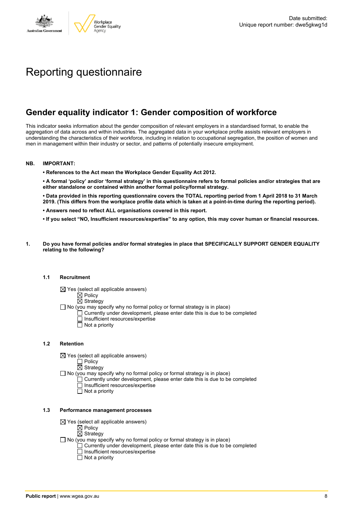

# Reporting questionnaire

# **Gender equality indicator 1: Gender composition of workforce**

This indicator seeks information about the gender composition of relevant employers in a standardised format, to enable the aggregation of data across and within industries. The aggregated data in your workplace profile assists relevant employers in understanding the characteristics of their workforce, including in relation to occupational segregation, the position of women and men in management within their industry or sector, and patterns of potentially insecure employment.

#### **NB. IMPORTANT:**

**• References to the Act mean the Workplace Gender Equality Act 2012.**

• A formal 'policy' and/or 'formal strategy' in this questionnaire refers to formal policies and/or strategies that are **either standalone or contained within another formal policy/formal strategy.**

• Data provided in this reporting questionnaire covers the TOTAL reporting period from 1 April 2018 to 31 March 2019. (This differs from the workplace profile data which is taken at a point-in-time during the reporting period).

- **• Answers need to reflect ALL organisations covered in this report.**
- . If you select "NO, Insufficient resources/expertise" to any option, this may cover human or financial resources.
- **1. Do you have formal policies and/or formal strategies in place that SPECIFICALLY SUPPORT GENDER EQUALITY relating to the following?**

#### **1.1 Recruitment**

- $\boxtimes$  Yes (select all applicable answers)
	- $\mathbb{\dot{A}}$  Policy
	- $\boxtimes$  Strategy
- No (you may specify why no formal policy or formal strategy is in place)
	- $\Box$  Currently under development, please enter date this is due to be completed
		- $\overline{\Box}$  Insufficient resources/expertise
		- $\Box$  Not a priority

#### **1.2 Retention**

- $\boxtimes$  Yes (select all applicable answers)
	- $\Box$  Policy
	- $\boxtimes$  Strategy
- No (you may specify why no formal policy or formal strategy is in place)
	- $\Box$  Currently under development, please enter date this is due to be completed
		- Insufficient resources/expertise
		- Not a priority

#### **1.3 Performance management processes**

- $\boxtimes$  Yes (select all applicable answers)
	- $\mathbb{\dot{Z}}$  Policy
	- $\boxtimes$  Strategy
- $\Box$  No (you may specify why no formal policy or formal strategy is in place)
	- $\Box$  Currently under development, please enter date this is due to be completed
	- $\Box$  Insufficient resources/expertise
	- $\Box$  Not a priority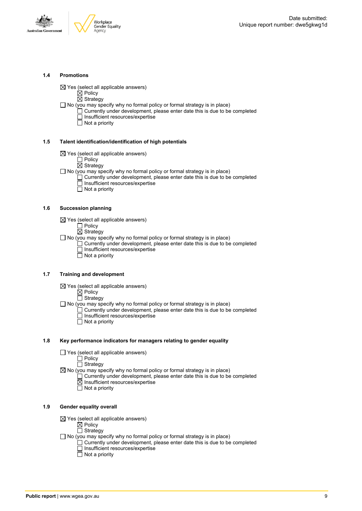

#### **1.4 Promotions**

 $\boxtimes$  Yes (select all applicable answers)

 $\boxtimes$  Policy

 $\overline{\boxtimes}$  Strategy

 $\Box$  No (you may specify why no formal policy or formal strategy is in place)

- $\Box$  Currently under development, please enter date this is due to be completed □ Insufficient resources/expertise
	- $\overline{\Box}$  Not a priority

#### **1.5 Talent identification/identification of high potentials**

- $\boxtimes$  Yes (select all applicable answers)
	- Policy
	- $\overline{\boxtimes}$  Strategy
- $\Box$  No (you may specify why no formal policy or formal strategy is in place)
	- Currently under development, please enter date this is due to be completed Insufficient resources/expertise
		- $\overline{\Box}$  Not a priority

#### **1.6 Succession planning**

- $\boxtimes$  Yes (select all applicable answers)
	- $\Box$  Policy
	- $\overline{\boxtimes}$  Strategy

 $\Box$  No (you may specify why no formal policy or formal strategy is in place)

- $\Box$  Currently under development, please enter date this is due to be completed Insufficient resources/expertise
- Not a priority

#### **1.7 Training and development**

- $\boxtimes$  Yes (select all applicable answers)
	- $\boxtimes$  Policy
		- $\Box$  Strategy

 $\Box$  No (you may specify why no formal policy or formal strategy is in place)

- Currently under development, please enter date this is due to be completed Insufficient resources/expertise
	- $\Box$  Not a priority

#### **1.8 Key performance indicators for managers relating to gender equality**

- $\Box$  Yes (select all applicable answers)
	- Policy
	- **Strategy**

 $\boxtimes$  No (you may specify why no formal policy or formal strategy is in place)

- $\Box$  Currently under development, please enter date this is due to be completed Insufficient resources/expertise
	- Not a priority

#### **1.9 Gender equality overall**

- $\boxtimes$  Yes (select all applicable answers)
	- $\boxtimes$  Policy
	- $\Box$  Strategy
- $\Box$  No (you may specify why no formal policy or formal strategy is in place)
	- $\Box$  Currently under development, please enter date this is due to be completed □ Insufficient resources/expertise
		- $\Box$  Not a priority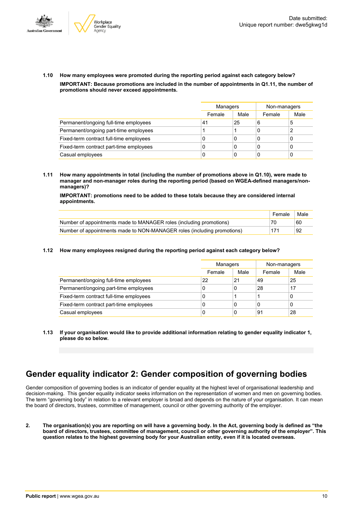



**1.10 How many employees were promoted during the reporting period against each category below? IMPORTANT: Because promotions are included in the number of appointments in Q1.11, the number of promotions should never exceed appointments.**

|                                         |        | Managers |        | Non-managers |
|-----------------------------------------|--------|----------|--------|--------------|
|                                         | Female | Male     | Female | Male         |
| Permanent/ongoing full-time employees   | 41     | 25       | 6      | 5            |
| Permanent/ongoing part-time employees   |        |          | C      |              |
| Fixed-term contract full-time employees | 0      | 0        | C      | U            |
| Fixed-term contract part-time employees | 0      | 0        | C      |              |
| Casual employees                        | 0      | 0        | C      |              |

**1.11 How many appointments in total (including the number of promotions above in Q1.10), were made to manager and non-manager roles during the reporting period (based on WGEA-defined managers/nonmanagers)?**

**IMPORTANT: promotions need to be added to these totals because they are considered internal appointments.**

|                                                                         | Female | Male |
|-------------------------------------------------------------------------|--------|------|
| Number of appointments made to MANAGER roles (including promotions)     | 70     | 60   |
| Number of appointments made to NON-MANAGER roles (including promotions) | 171    | '92  |

#### **1.12 How many employees resigned during the reporting period against each category below?**

|                                         | Managers |      | Non-managers |      |
|-----------------------------------------|----------|------|--------------|------|
|                                         | Female   | Male | Female       | Male |
| Permanent/ongoing full-time employees   | 22       | 21   | 49           | 25   |
| Permanent/ongoing part-time employees   | 0        | 0    | 28           | 17   |
| Fixed-term contract full-time employees | 0        |      |              | 0    |
| Fixed-term contract part-time employees | 0        | 0    |              | 0    |
| Casual employees                        | 0        | 0    | 91           | 28   |

**1.13 If your organisation would like to provide additional information relating to gender equality indicator 1, please do so below.**

## **Gender equality indicator 2: Gender composition of governing bodies**

Gender composition of governing bodies is an indicator of gender equality at the highest level of organisational leadership and decision-making. This gender equality indicator seeks information on the representation of women and men on governing bodies. The term "governing body" in relation to a relevant employer is broad and depends on the nature of your organisation. It can mean the board of directors, trustees, committee of management, council or other governing authority of the employer.

2. The organisation(s) you are reporting on will have a governing body. In the Act, governing body is defined as "the board of directors, trustees, committee of management, council or other governing authority of the employer". This question relates to the highest governing body for your Australian entity, even if it is located overseas.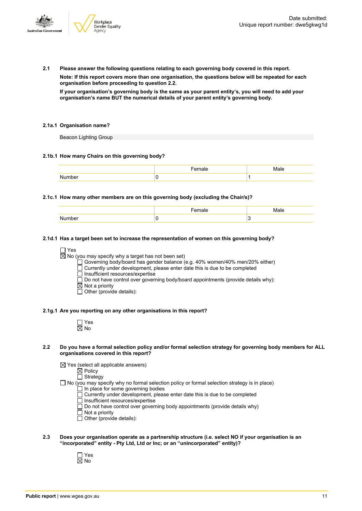

**2.1 Please answer the following questions relating to each governing body covered in this report.**

**Note: If this report covers more than one organisation, the questions below will be repeated for each organisation before proceeding to question 2.2.**

If your organisation's governing body is the same as your parent entity's, you will need to add your **organisation's name BUT the numerical details of your parent entity's governing body.**

#### **2.1a.1 Organisation name?**

Beacon Lighting Group

#### **2.1b.1 How many Chairs on this governing body?**

#### **2.1c.1 How many other members are on this governing body (excluding the Chair/s)?**

#### **2.1d.1 Has a target been set to increase the representation of women on this governing body?**

□ Yes

 $\overline{\boxtimes}$  No (you may specify why a target has not been set)

Governing body/board has gender balance (e.g. 40% women/40% men/20% either)

Currently under development, please enter date this is due to be completed

□ Insufficient resources/expertise

 $\square$  Do not have control over governing body/board appointments (provide details why):

 $\boxtimes$  Not a priority

 $\overline{\Box}$  Other (provide details):

#### **2.1g.1 Are you reporting on any other organisations in this report?**

| ٦<br>٠ |
|--------|

#### 2.2 Do you have a formal selection policy and/or formal selection strategy for governing body members for ALL **organisations covered in this report?**

 $\boxtimes$  Yes (select all applicable answers)

 $\boxtimes$  Policy  $\overline{\Box}$  Strategy

- $\Box$  No (you may specify why no formal selection policy or formal selection strategy is in place)
	- In place for some governing bodies
	- Currently under development, please enter date this is due to be completed
	- $\overline{\Box}$  Insufficient resources/expertise
	- $\Box$  Do not have control over governing body appointments (provide details why)
	- Not a priority
	- Other (provide details):
- **2.3 Does your organisation operate as a partnership structure (i.e. select NO if your organisation is an "incorporated" entity - Pty Ltd, Ltd or Inc; or an "unincorporated" entity)?**
	- Yes No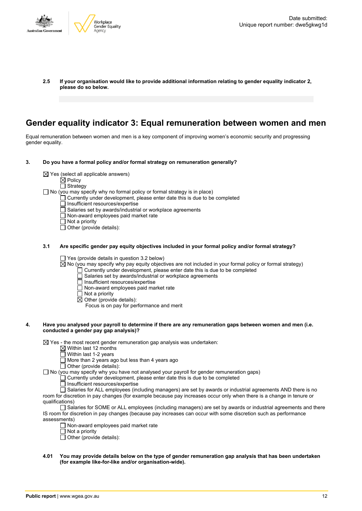

**2.5 If your organisation would like to provide additional information relating to gender equality indicator 2, please do so below.**

## **Gender equality indicator 3: Equal remuneration between women and men**

Equal remuneration between women and men is a key component of improving women's economic security and progressing gender equality.

- **3. Do you have a formal policy and/or formal strategy on remuneration generally?**
	- $\boxtimes$  Yes (select all applicable answers)
		- $\boxtimes$  Policy
		- □ Strategy

 $\Box$  No (you may specify why no formal policy or formal strategy is in place)

- Currently under development, please enter date this is due to be completed
	- Insufficient resources/expertise
- $\overline{\Box}$  Salaries set by awards/industrial or workplace agreements
- Non-award employees paid market rate
- $\Box$  Not a priority
- $\overline{\Box}$  Other (provide details):
- **3.1 Are specific gender pay equity objectives included in your formal policy and/or formal strategy?**

 $\Box$  Yes (provide details in question 3.2 below)

- $\overline{\boxtimes}$  No (you may specify why pay equity objectives are not included in your formal policy or formal strategy)
	- Currently under development, please enter date this is due to be completed
	- Salaries set by awards/industrial or workplace agreements
	- Insufficient resources/expertise  $\Box$  Non-award employees paid market rate
	- $\Box$  Not a priority
	- $\boxtimes$  Other (provide details):
		- Focus is on pay for performance and merit

#### 4. Have you analysed your payroll to determine if there are any remuneration gaps between women and men (i.e. **conducted a gender pay gap analysis)?**

 $\boxtimes$  Yes - the most recent gender remuneration gap analysis was undertaken:

- $\boxtimes$  Within last 12 months
- $\overline{\Box}$  Within last 1-2 years
- More than 2 years ago but less than 4 years ago
- $\Box$  Other (provide details):

 $\Box$  No (you may specify why you have not analysed your payroll for gender remuneration gaps)

Currently under development, please enter date this is due to be completed

- $\overline{\Box}$  Insufficient resources/expertise
- Salaries for ALL employees (including managers) are set by awards or industrial agreements AND there is no room for discretion in pay changes (for example because pay increases occur only when there is a change in tenure or qualifications)

Salaries for SOME or ALL employees (including managers) are set by awards or industrial agreements and there IS room for discretion in pay changes (because pay increases can occur with some discretion such as performance assessments)

- $\Box$  Non-award employees paid market rate
- $\overline{\Box}$  Not a priority
- $\Box$  Other (provide details):
- 4.01 You may provide details below on the type of gender remuneration gap analysis that has been undertaken **(for example like-for-like and/or organisation-wide).**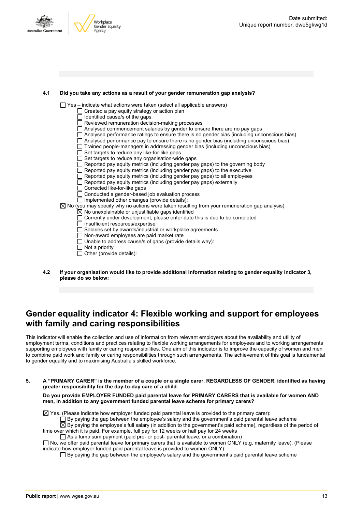



#### **4.1 Did you take any actions as a result of your gender remuneration gap analysis?**

 $\Box$  Yes – indicate what actions were taken (select all applicable answers)

- $\Box$  Created a pay equity strategy or action plan
- $\Box$  Identified cause/s of the gaps
- Reviewed remuneration decision-making processes
- Analysed commencement salaries by gender to ensure there are no pay gaps
- $\Box$  Analysed performance ratings to ensure there is no gender bias (including unconscious bias)
- $\Box$  Analysed performance pay to ensure there is no gender bias (including unconscious bias)
- $\Box$  Trained people-managers in addressing gender bias (including unconscious bias)
- $\Box$  Set targets to reduce any like-for-like gaps
- $\Box$  Set targets to reduce any organisation-wide gaps
- Reported pay equity metrics (including gender pay gaps) to the governing body
- Reported pay equity metrics (including gender pay gaps) to the executive
- $\Box$  Reported pay equity metrics (including gender pay gaps) to all employees
- $\Box$  Reported pay equity metrics (including gender pay gaps) externally
- □ Corrected like-for-like gaps
- Conducted a gender-based job evaluation process
- $\Box$  Implemented other changes (provide details):
- $\boxtimes$  No (you may specify why no actions were taken resulting from your remuneration gap analysis)
	- No unexplainable or unjustifiable gaps identified Currently under development, please enter date this is due to be completed
	- $\overline{\Box}$  Insufficient resources/expertise
	- $\Box$  Salaries set by awards/industrial or workplace agreements
	- Non-award employees are paid market rate
	- Unable to address cause/s of gaps (provide details why):
	- $\Box$  Not a priority
	- $\Box$  Other (provide details):
- **4.2 If your organisation would like to provide additional information relating to gender equality indicator 3, please do so below:**

## **Gender equality indicator 4: Flexible working and support for employees with family and caring responsibilities**

This indicator will enable the collection and use of information from relevant employers about the availability and utility of employment terms, conditions and practices relating to flexible working arrangements for employees and to working arrangements supporting employees with family or caring responsibilities. One aim of this indicator is to improve the capacity of women and men to combine paid work and family or caring responsibilities through such arrangements. The achievement of this goal is fundamental to gender equality and to maximising Australia's skilled workforce.

5. A "PRIMARY CARER" is the member of a couple or a single carer, REGARDLESS OF GENDER, identified as having **greater responsibility for the day-to-day care of a child.**

**Do you provide EMPLOYER FUNDED paid parental leave for PRIMARY CARERS that is available for women AND men, in addition to any government funded parental leave scheme for primary carers?**

 $\boxtimes$  Yes. (Please indicate how employer funded paid parental leave is provided to the primary carer):

By paying the gap between the employee's salary and the government's paid parental leave scheme

By paying the employee's full salary (in addition to the government's paid scheme), regardless of the period of time over which it is paid. For example, full pay for 12 weeks or half pay for 24 weeks

 $\Box$  As a lump sum payment (paid pre- or post- parental leave, or a combination)

 $\Box$  No, we offer paid parental leave for primary carers that is available to women ONLY (e.g. maternity leave). (Please indicate how employer funded paid parental leave is provided to women ONLY):

 $\square$  By paying the gap between the employee's salary and the government's paid parental leave scheme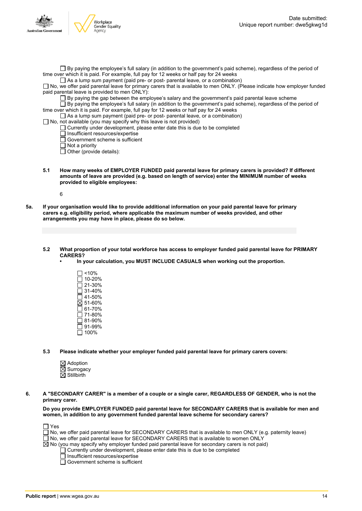

 $\Box$  By paying the employee's full salary (in addition to the government's paid scheme), regardless of the period of time over which it is paid. For example, full pay for 12 weeks or half pay for 24 weeks

 $\Box$  As a lump sum payment (paid pre- or post- parental leave, or a combination)

No, we offer paid parental leave for primary carers that is available to men ONLY. (Please indicate how employer funded paid parental leave is provided to men ONLY):

By paying the gap between the employee's salary and the government's paid parental leave scheme

 $\overline{\Box}$  By paying the employee's full salary (in addition to the government's paid scheme), regardless of the period of time over which it is paid. For example, full pay for 12 weeks or half pay for 24 weeks

As a lump sum payment (paid pre- or post- parental leave, or a combination)

 $\Box$  No, not available (you may specify why this leave is not provided)

 $\Box$  Currently under development, please enter date this is due to be completed

 $\Box$  Insufficient resources/expertise

 $\overline{\Box}$  Government scheme is sufficient

 $\overline{\Box}$  Not a priority

 $\Box$  Other (provide details):

**5.1 How many weeks of EMPLOYER FUNDED paid parental leave for primary carers is provided? If different amounts of leave are provided (e.g. based on length of service) enter the MINIMUM number of weeks provided to eligible employees:**

6

- 5a. If your organisation would like to provide additional information on your paid parental leave for primary **carers e.g. eligibility period, where applicable the maximum number of weeks provided, and other arrangements you may have in place, please do so below.**
	- **5.2 What proportion of your total workforce has access to employer funded paid parental leave for PRIMARY CARERS?**
		- **• In your calculation, you MUST INCLUDE CASUALS when working out the proportion.**
			- <10% 10-20%  $\bar{2}$ 1-30%  $\Box$  31-40%  $\overline{\Box}$  41-50%  $\overline{\boxtimes}$  51-60%  $\overline{\Box}$  61-70%  $\square$  71-80% 81-90% 91-99%  $\Box$  100%
	- **5.3 Please indicate whether your employer funded paid parental leave for primary carers covers:**
		- $\boxtimes$  Adoption  $\boxtimes$  Surrogacy  $\overline{\boxtimes}$  Stillbirth

6. A "SECONDARY CARER" is a member of a couple or a single carer, REGARDLESS OF GENDER, who is not the **primary carer.**

**Do you provide EMPLOYER FUNDED paid parental leave for SECONDARY CARERS that is available for men and women, in addition to any government funded parental leave scheme for secondary carers?**

| $\Box$ Yes                                                                                                        |  |
|-------------------------------------------------------------------------------------------------------------------|--|
| $\Box$ No, we offer paid parental leave for SECONDARY CARERS that is available to men ONLY (e.g. paternity leave) |  |
| □ No, we offer paid parental leave for SECONDARY CARERS that is available to women ONLY                           |  |
| $\boxtimes$ No (you may specify why employer funded paid parental leave for secondary carers is not paid)         |  |
| $\Box$ Currently under development, please enter date this is due to be completed                                 |  |
| $\Box$ Insufficient resources/expertise                                                                           |  |
| $\Box$ Government scheme is sufficient                                                                            |  |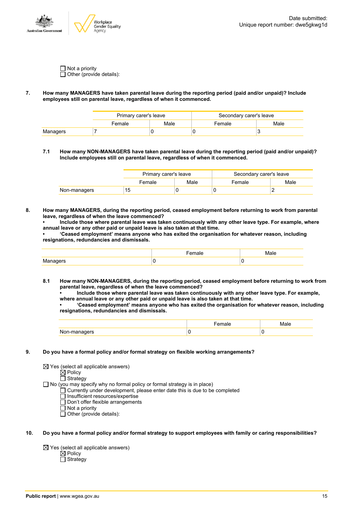

 $\Box$  Not a priority  $\Box$  Other (provide details):

#### **7. How many MANAGERS have taken parental leave during the reporting period (paid and/or unpaid)? Include employees still on parental leave, regardless of when it commenced.**

|          | Primary carer's leave |      | Secondary carer's leave |      |
|----------|-----------------------|------|-------------------------|------|
|          | Female                | Male | Female                  | Male |
| Managers |                       |      |                         |      |

**7.1 How many NON-MANAGERS have taken parental leave during the reporting period (paid and/or unpaid)? Include employees still on parental leave, regardless of when it commenced.**

|              | Primary carer's leave |      | Secondary carer's leave |      |  |
|--------------|-----------------------|------|-------------------------|------|--|
|              | Female                | Male | Female                  | Male |  |
| Non-managers | 15                    |      |                         |      |  |

**8. How many MANAGERS, during the reporting period, ceased employment before returning to work from parental leave, regardless of when the leave commenced?**

**• Include those where parental leave was taken continuously with any other leave type. For example, where annual leave or any other paid or unpaid leave is also taken at that time.**

**• 'Ceased employment' means anyone who has exited the organisation for whatever reason, including resignations, redundancies and dismissals.**

- **8.1 How many NON-MANAGERS, during the reporting period, ceased employment before returning to work from parental leave, regardless of when the leave commenced?**
	- **• Include those where parental leave was taken continuously with any other leave type. For example, where annual leave or any other paid or unpaid leave is also taken at that time.**

**• 'Ceased employment' means anyone who has exited the organisation for whatever reason, including resignations, redundancies and dismissals.**

| w<br>$\cdots$ |  |
|---------------|--|

#### **9. Do you have a formal policy and/or formal strategy on flexible working arrangements?**

- $\boxtimes$  Yes (select all applicable answers)
	- $\boxtimes$  Policy
	- $\Box$  Strategy
- $\Box$  No (you may specify why no formal policy or formal strategy is in place)
	- $\Box$  Currently under development, please enter date this is due to be completed
		- □ Insufficient resources/expertise
		- Don't offer flexible arrangements
		- Not a priority
		- $\Box$  Other (provide details):
- 10. Do you have a formal policy and/or formal strategy to support employees with family or caring responsibilities?

 $\boxtimes$  Yes (select all applicable answers)  $\boxtimes$  Policy □ Strategy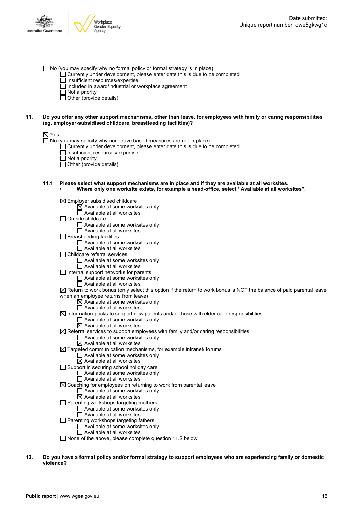- $\Box$  No (you may specify why no formal policy or formal strategy is in place)
	- $\Box$  Currently under development, please enter date this is due to be completed
	- $\overline{\Box}$  Insufficient resources/expertise
	- $\Box$  Included in award/industrial or workplace agreement
	- $\Box$  Not a priority
	- $\Box$  Other (provide details):

#### 11. Do you offer any other support mechanisms, other than leave, for employees with family or caring responsibilities **(eg, employer-subsidised childcare, breastfeeding facilities)?**

#### ⊠ Yes

 $\Box$  No (you may specify why non-leave based measures are not in place)

- Currently under development, please enter date this is due to be completed
- Insufficient resources/expertise
- $\overline{\Box}$  Not a priority
- $\overline{\Box}$  Other (provide details):
- **11.1 Please select what support mechanisms are in place and if they are available at all worksites. • Where only one worksite exists, for example a head-office, select "Available at all worksites".**

 $\boxtimes$  Employer subsidised childcare

- $\boxtimes$  Available at some worksites only  $\Box$  Available at all worksites On-site childcare Available at some worksites only Available at all worksites  $\Box$  Breastfeeding facilities Available at some worksites only □ Available at all worksites Childcare referral services □ Available at some worksites only  $\Box$  Available at all worksites  $\Box$  Internal support networks for parents  $\Box$  Available at some worksites only  $\overline{\Box}$  Available at all worksites  $\boxtimes$  Return to work bonus (only select this option if the return to work bonus is NOT the balance of paid parental leave when an employee returns from leave)  $\boxtimes$  Available at some worksites only  $\Box$  Available at all worksites  $\boxtimes$  Information packs to support new parents and/or those with elder care responsibilities  $\Box$  Available at some worksites only  $\overline{\boxtimes}$  Available at all worksites  $\boxtimes$  Referral services to support employees with family and/or caring responsibilities □ Available at some worksites only  $\overline{\boxtimes}$  Available at all worksites  $\boxtimes$  Targeted communication mechanisms, for example intranet/ forums  $\Box$  Available at some worksites only  $\overline{\boxtimes}$  Available at all worksites  $\Box$  Support in securing school holiday care  $\Box$  Available at some worksites only  $\Box$  Available at all worksites  $\boxtimes$  Coaching for employees on returning to work from parental leave □ Available at some worksites only
	- $\boxtimes$  Available at all worksites
	- $\Box$  Parenting workshops targeting mothers
		- □ Available at some worksites only
		- Available at all worksites
	- □ Parenting workshops targeting fathers
		- Available at some worksites only
		- $\Box$  Available at all worksites
	- $\Box$  None of the above, please complete question 11.2 below
- 12. Do you have a formal policy and/or formal strategy to support employees who are experiencing family or domestic **violence?**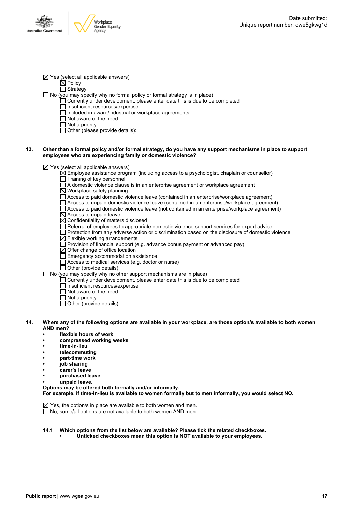

 $\boxtimes$  Yes (select all applicable answers)

 $\boxtimes$  Policy  $\overline{\Box}$  Strategy

 $\Box$  No (you may specify why no formal policy or formal strategy is in place)

- $\Box$  Currently under development, please enter date this is due to be completed
	- □ Insufficient resources/expertise
	- $\overline{\Box}$  Included in award/industrial or workplace agreements
	- Not aware of the need
	- $\overline{\Box}$  Not a priority
	- $\Box$  Other (please provide details):

#### 13. Other than a formal policy and/or formal strategy, do you have any support mechanisms in place to support **employees who are experiencing family or domestic violence?**

 $\boxtimes$  Yes (select all applicable answers)

- $\boxtimes$  Employee assistance program (including access to a psychologist, chaplain or counsellor)
- $\Box$  Training of key personnel
- $\Box$  A domestic violence clause is in an enterprise agreement or workplace agreement
- Workplace safety planning
- Access to paid domestic violence leave (contained in an enterprise/workplace agreement)
- Access to unpaid domestic violence leave (contained in an enterprise/workplace agreement)
- Access to paid domestic violence leave (not contained in an enterprise/workplace agreement)
- $\boxtimes$  Access to unpaid leave
- $\overline{\boxtimes}$  Confidentiality of matters disclosed
- $\Box$  Referral of employees to appropriate domestic violence support services for expert advice
- Protection from any adverse action or discrimination based on the disclosure of domestic violence
- $\boxtimes$  Flexible working arrangements
- $\Box$  Provision of financial support (e.g. advance bonus payment or advanced pay)
- $\boxtimes$  Offer change of office location
- Emergency accommodation assistance
- Access to medical services (e.g. doctor or nurse)
- $\overline{\Box}$  Other (provide details):

 $\Box$  No (you may specify why no other support mechanisms are in place)

- Currently under development, please enter date this is due to be completed
- Insufficient resources/expertise
- $\overline{\Box}$  Not aware of the need
- $\Box$  Not a priority
- $\overline{\Box}$  Other (provide details):
- 14. Where any of the following options are available in your workplace, are those option/s available to both women **AND men?**
	- **• flexible hours of work**
	- **• compressed working weeks**
	- **• time-in-lieu**
	- **• telecommuting**
	- **• part-time work**
	- **• job sharing**
	- **• carer's leave**
	- **• purchased leave**
	- **• unpaid leave.**
	- **Options may be offered both formally and/or informally.**

**For example, if time-in-lieu is available to women formally but to men informally, you would select NO.**

 $\boxtimes$  Yes, the option/s in place are available to both women and men.  $\overline{\Box}$  No, some/all options are not available to both women AND men.

#### **14.1 Which options from the list below are available? Please tick the related checkboxes.**

**• Unticked checkboxes mean this option is NOT available to your employees.**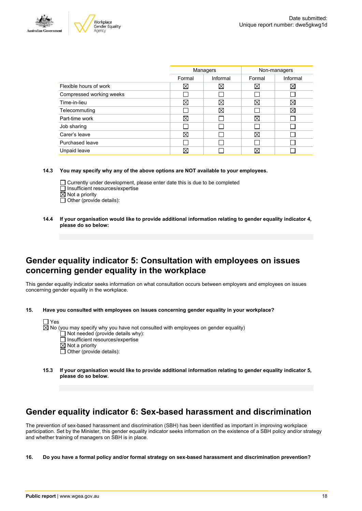



| Managers    |          | Non-managers |             |
|-------------|----------|--------------|-------------|
| Formal      | Informal | Formal       | Informal    |
| $\boxtimes$ | X        | $\boxtimes$  | $\boxtimes$ |
|             |          |              |             |
| ⊠           | ⊠        | $\boxtimes$  | X           |
|             | ⊠        |              | Χ           |
| ⊠           |          | ⊠            |             |
|             |          |              |             |
| ⊠           |          | ⊠            |             |
|             |          |              |             |
| ⋉           |          | X            |             |
|             |          |              |             |

**14.3 You may specify why any of the above options are NOT available to your employees.**

- $\Box$  Currently under development, please enter date this is due to be completed  $\Box$  Insufficient resources/expertise  $\boxtimes$  Not a priority
- $\Box$  Other (provide details):
- **14.4 If your organisation would like to provide additional information relating to gender equality indicator 4, please do so below:**

### **Gender equality indicator 5: Consultation with employees on issues concerning gender equality in the workplace**

This gender equality indicator seeks information on what consultation occurs between employers and employees on issues concerning gender equality in the workplace.

**15. Have you consulted with employees on issues concerning gender equality in your workplace?**

| I l Yes |                                                                                               |
|---------|-----------------------------------------------------------------------------------------------|
|         | $\boxtimes$ No (you may specify why you have not consulted with employees on gender equality) |
|         | $\Box$ Not needed (provide details why):                                                      |
|         | □ Insufficient resources/expertise                                                            |
|         | $\boxtimes$ Not a priority                                                                    |
|         | $\Box$ Other (provide details):                                                               |

**15.3 If your organisation would like to provide additional information relating to gender equality indicator 5, please do so below.**

## **Gender equality indicator 6: Sex-based harassment and discrimination**

The prevention of sex-based harassment and discrimination (SBH) has been identified as important in improving workplace participation. Set by the Minister, this gender equality indicator seeks information on the existence of a SBH policy and/or strategy and whether training of managers on SBH is in place.

**16. Do you have a formal policy and/or formal strategy on sex-based harassment and discrimination prevention?**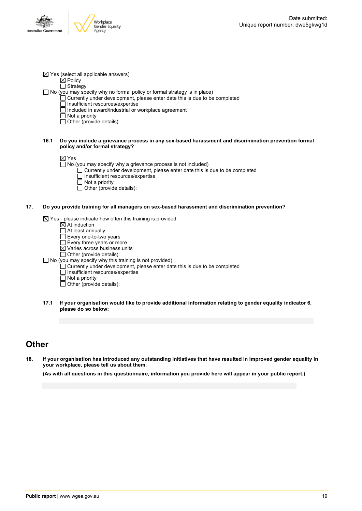

 $\dot{\boxtimes}$  Policy

□ Strategy

 $\Box$  No (you may specify why no formal policy or formal strategy is in place)

- Currently under development, please enter date this is due to be completed
- $\Box$  Insufficient resources/expertise
	- Included in award/industrial or workplace agreement
- Not a priority
- $\overline{\Box}$  Other (provide details):
- **16.1 Do you include a grievance process in any sex-based harassment and discrimination prevention formal policy and/or formal strategy?**

 $\boxtimes$  Yes

- $\Box$  No (you may specify why a grievance process is not included)
	- Currently under development, please enter date this is due to be completed Insufficient resources/expertise
	- $\overline{\Box}$  Not a priority
	- $\Box$  Other (provide details):

#### **17. Do you provide training for all managers on sex-based harassment and discrimination prevention?**

 $\boxtimes$  Yes - please indicate how often this training is provided:

- $\overline{\boxtimes}$  At induction
- $\Box$  At least annually
- Every one-to-two years
- $\square$  Every three years or more
- Varies across business units
- Other (provide details):
- $\Box$  No (you may specify why this training is not provided)
	- Currently under development, please enter date this is due to be completed
	- Insufficient resources/expertise
	- $\overline{\Box}$  Not a priority
	- $\Box$  Other (provide details):
- **17.1 If your organisation would like to provide additional information relating to gender equality indicator 6, please do so below:**

### **Other**

18. If your organisation has introduced any outstanding initiatives that have resulted in improved gender equality in **your workplace, please tell us about them.**

(As with all questions in this questionnaire, information you provide here will appear in your public report.)